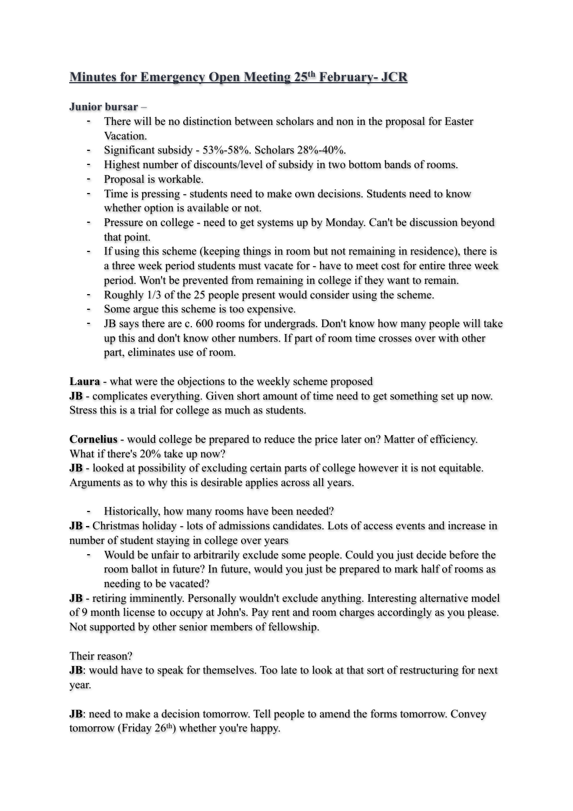## **Minutes for Emergency Open Meeting 25th February- JCR**

## **Junior bursar** –

- There will be no distinction between scholars and non in the proposal for Easter Vacation.
- Significant subsidy 53%-58%. Scholars 28%-40%.
- Highest number of discounts/level of subsidy in two bottom bands of rooms.
- Proposal is workable.
- Time is pressing students need to make own decisions. Students need to know whether option is available or not.
- Pressure on college need to get systems up by Monday. Can't be discussion beyond that point.
- If using this scheme (keeping things in room but not remaining in residence), there is a three week period students must vacate for - have to meet cost for entire three week period. Won't be prevented from remaining in college if they want to remain.
- Roughly 1/3 of the 25 people present would consider using the scheme.
- Some argue this scheme is too expensive.
- JB says there are c. 600 rooms for undergrads. Don't know how many people will take up this and don't know other numbers. If part of room time crosses over with other part, eliminates use of room.

**Laura** - what were the objections to the weekly scheme proposed

**JB** - complicates everything. Given short amount of time need to get something set up now. Stress this is a trial for college as much as students.

**Cornelius** - would college be prepared to reduce the price later on? Matter of efficiency. What if there's 20% take up now?

**JB** - looked at possibility of excluding certain parts of college however it is not equitable. Arguments as to why this is desirable applies across all years.

- Historically, how many rooms have been needed?

**JB -** Christmas holiday - lots of admissions candidates. Lots of access events and increase in number of student staying in college over years

- Would be unfair to arbitrarily exclude some people. Could you just decide before the room ballot in future? In future, would you just be prepared to mark half of rooms as needing to be vacated?

**JB** - retiring imminently. Personally wouldn't exclude anything. Interesting alternative model of 9 month license to occupy at John's. Pay rent and room charges accordingly as you please. Not supported by other senior members of fellowship.

## Their reason?

**JB**: would have to speak for themselves. Too late to look at that sort of restructuring for next year.

**JB**: need to make a decision tomorrow. Tell people to amend the forms tomorrow. Convey tomorrow (Friday 26<sup>th</sup>) whether you're happy.